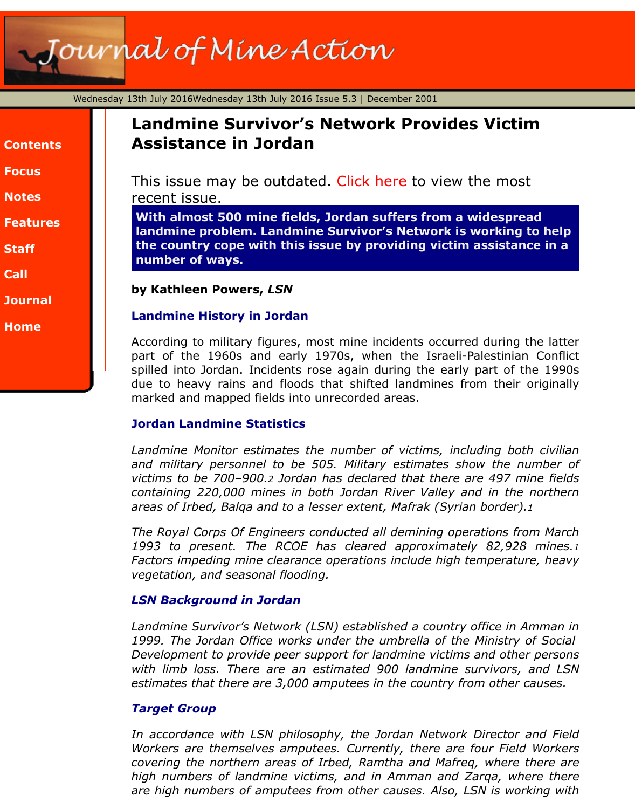| <b>Contents</b> |
|-----------------|
| <b>Focus</b>    |
| Notes           |
| <b>Features</b> |
| <b>Staff</b>    |

- **[Call](http://www.jmu.edu/cisr/journal/5.3/index.htm#focus)**
- **[Journa](http://www.jmu.edu/cisr/journal/5.3/index.htm#notes)l**
- **[Home](http://www.jmu.edu/cisr/journal/5.3/index.htm#feature)**

# **Landmine Survivor's Network Provides Victim Assistance in Jordan**

This issue may be outdated. Click here to view the most recent issue.

**With almost 500 mine fields, Jordan suffers from a widespread landmine problem. Landmine Survivor's Network is working to the country cope with this issue by providing victim assistance in a number of ways.**

#### **by Kathleen Powers,** *LSN*

## **Landmine History in Jordan**

According to military figures, most mine incidents occurred during the part of the 1960s and early 1970s, when the Israeli-Palestinian O spilled into Jordan. Incidents rose again during the early part of the due to heavy rains and floods that shifted landmines from their or marked and mapped fields into unrecorded areas.

## **Jordan Landmine Statistics**

*Landmine Monitor estimates the number of victims, including both civilian* and military personnel to be 505. Military estimates show the num victims to be 700-900.2 Jordan has declared that there are 497 mine *containing 220,000 mines in both Jordan River Valley and in the no areas of Irbed, Balqa and to a lesser extent, Mafrak (Syrian border).1*

*The Royal Corps Of Engineers conducted all demining operations from* 1993 to present. The RCOE has cleared approximately 82,928 r Factors impeding mine clearance operations include high temperature, *vegetation, and seasonal flooding.*

## *LSN Background in Jordan*

Landmine Survivor's Network (LSN) established a country office in Am 1999. The Jordan Office works under the umbrella of the Ministry of *Development to provide peer support for landmine victims and other p* with limb loss. There are an estimated 900 landmine survivors, are estimates that there are 3,000 amputees in the country from other caun

## *Target Group*

In accordance with LSN philosophy, the Jordan Network Director an *Workers are themselves amputees. Currently, there are four Field W* covering the northern areas of Irbed, Ramtha and Mafreq, where the high numbers of landmine victims, and in Amman and Zarga, where *are high numbers of amputees from other causes. Also, LSN is working with are mightages are high.*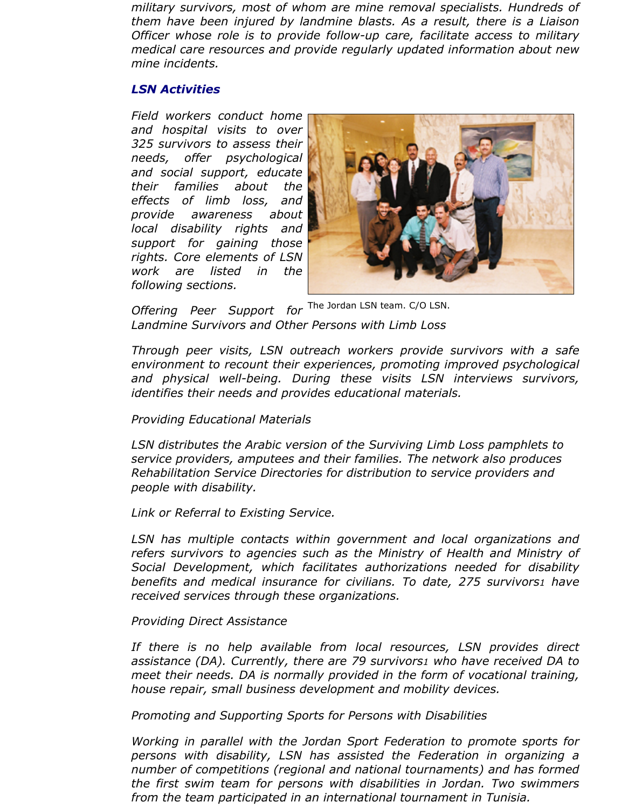*military survivors, most of whom are mine removal specialists. Hundreds of them have been injured by landmine blasts. As a result, there is a Liaison Officer whose role is to provide follow-up care, facilitate access to military medical care resources and provide regularly updated information about new mine incidents.*

#### *LSN Activities*

*Field workers conduct home and hospital visits to over 325 survivors to assess their needs, offer psychological and social support, educate their families about the effects of limb loss, and provide awareness about local disability rights and support for gaining those rights. Core elements of LSN work are listed in the following sections.*



Offering Peer Support for <sup>The Jordan LSN team. C/O LSN.</sup> *Landmine Survivors and Other Persons with Limb Loss*

*Through peer visits, LSN outreach workers provide survivors with a safe environment to recount their experiences, promoting improved psychological and physical well-being. During these visits LSN interviews survivors, identifies their needs and provides educational materials.*

#### *Providing Educational Materials*

*LSN distributes the Arabic version of the Surviving Limb Loss pamphlets to service providers, amputees and their families. The network also produces Rehabilitation Service Directories for distribution to service providers and people with disability.*

*Link or Referral to Existing Service.*

*LSN has multiple contacts within government and local organizations and refers survivors to agencies such as the Ministry of Health and Ministry of Social Development, which facilitates authorizations needed for disability benefits and medical insurance for civilians. To date, 275 survivors1 have received services through these organizations.*

#### *Providing Direct Assistance*

*If there is no help available from local resources, LSN provides direct assistance (DA). Currently, there are 79 survivors1 who have received DA to meet their needs. DA is normally provided in the form of vocational training, house repair, small business development and mobility devices.*

*Promoting and Supporting Sports for Persons with Disabilities*

*Working in parallel with the Jordan Sport Federation to promote sports for persons with disability, LSN has assisted the Federation in organizing a number of competitions (regional and national tournaments) and has formed the first swim team for persons with disabilities in Jordan. Two swimmers from the team participated in an international tournament in Tunisia.*